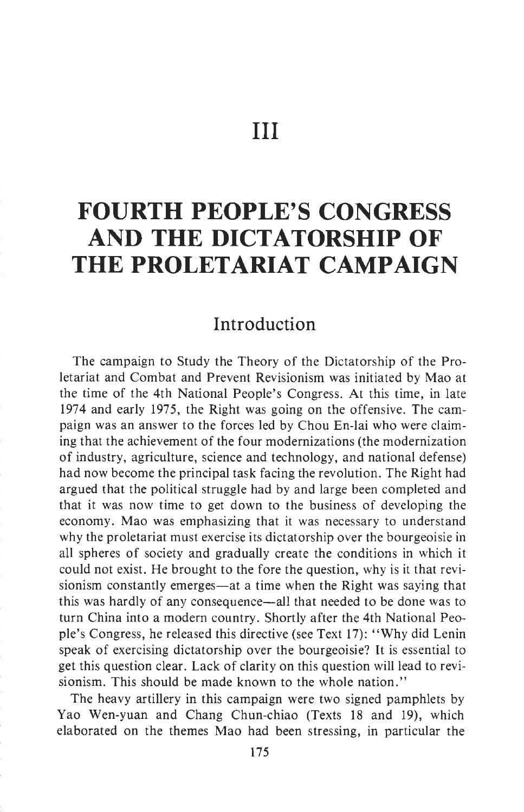III

## FOURTH PEOPLE'S CONGRESS AND THE DICTATORSHIP OF THE PROLETARIAT CAMPAIGN

## Introduction

The campaign to Study the Theory of the Dictatorship of the Proletariat and Combat and Prevent Revisionism was initiated by Mao at the time of the 4th National People's Congress. At this time, in late 1974 and early 1975, the Right was going on the offensive. The campaign was an answer to the forces led by Chou En-lai who were claiming that the achievement of the four modernizations (the modernization of industry, agriculture, science and technology, and national defense) had now become the principal task facing the revolution. The Right had argued that the political struggle had by and large been completed and that it was now time to get down to the business of developing the economy. Mao was emphasizing that it was necessary to understand why the proletariat must exercise its dictatorship over the bourgeoisie in all spheres of society and gradually create the conditions in which it could not exist. He brought to the fore the question, why is it that revisionism constantly emerges—at a time when the Right was saying that this was hardly of any consequence-all that needed to be done was to turn China into a modern country. Shortly after the 4th National People's Congress, he released this directive (see Text l7): "Why did Lenin speak of exercising dictatorship over the bourgeoisie? It is essential to get this question clear. Lack of clarity on this question will lead to revisionism. This should be made known to the whole nation."

The heavy artillery in this campaign were two signed pamphlets by Yao Wen-yuan and Chang Chun-chiao (Texts 18 and 19), which elaborated on the themes Mao had been stressing, in particular the